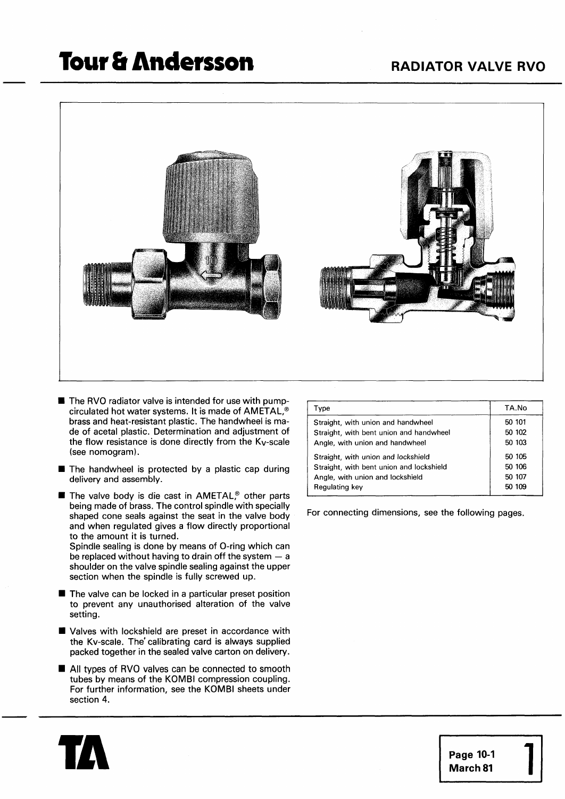## **Tour & Andersson**



- **W** The RVO radiator valve is intended for use with pumpcirculated hot water systems. It is made of AMETAL,@ brass and heat-resistant plastic. The handwheel is made of acetal plastic. Determination and adjustment of the flow resistance is done directly from the  $K_V$ -scale (see nomogram).
- The handwheel is protected by a plastic cap during delivery and assembly.
- The valve body is die cast in AMETAL<sup>®</sup> other parts being made of brass. The control spindle with specially shaped cone seals against the seat in the valve body and when regulated gives a flow directly proportional to the amount it is turned.

Spindle sealing is done by means of O-ring which can be replaced without having to drain off the system  $-$  a shoulder on the valve spindle sealing against the upper section when the spindle is fully screwed up.

- The valve can be locked in a particular preset position to prevent any unauthorised alteration of the valve setting.
- **W** Valves with lockshield are preset in accordance with the Kv-scale. The' calibrating card is always supplied packed together in the sealed valve carton on delivery. **IMPLE FRU FRUGGERY THE VEGENT OF THE VEGENT OF PACKED PACKED PACKED All types of RVO valves can be connected to smooth tubes by means of the KOMBI compression coupling.**
- tubes by means of the KOMBI compression coupling. For further information, see the KOMBI sheets under section 4.

| Type                                     | TA.No  |
|------------------------------------------|--------|
| Straight, with union and handwheel       | 50 101 |
| Straight, with bent union and handwheel  | 50 102 |
| Angle, with union and handwheel          | 50 103 |
| Straight, with union and lockshield      | 50 105 |
| Straight, with bent union and lockshield | 50 106 |
| Angle, with union and lockshield         | 50 107 |
| Regulating key                           | 50 109 |

For connecting dimensions, see the following pages.



**Page 10-1 March 81** 1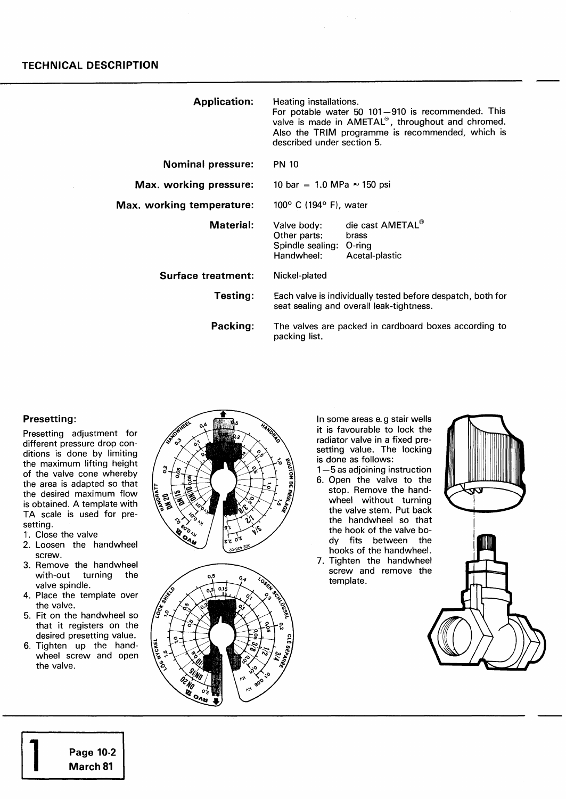| <b>Application:</b>       | Heating installations.<br>For potable water 50 101-910 is recommended. This<br>valve is made in AMETAL®, throughout and chromed.<br>Also the TRIM programme is recommended, which is<br>described under section 5. |                                             |  |
|---------------------------|--------------------------------------------------------------------------------------------------------------------------------------------------------------------------------------------------------------------|---------------------------------------------|--|
| <b>Nominal pressure:</b>  | <b>PN 10</b>                                                                                                                                                                                                       |                                             |  |
| Max. working pressure:    | 10 bar = 1.0 MPa $\approx$ 150 psi                                                                                                                                                                                 |                                             |  |
| Max. working temperature: | $100^{\circ}$ C (194 $^{\circ}$ F), water                                                                                                                                                                          |                                             |  |
| <b>Material:</b>          | Valve body:<br>Other parts:<br>Spindle sealing: O-ring<br>Handwheel:                                                                                                                                               | die cast AMETAL®<br>brass<br>Acetal-plastic |  |
| Surface treatment:        | Nickel-plated                                                                                                                                                                                                      |                                             |  |
| Testing:                  | Each valve is individually tested before despatch, both for<br>seat sealing and overall leak-tightness.                                                                                                            |                                             |  |
| Packing:                  | The valves are packed in cardboard boxes according to<br>packing list.                                                                                                                                             |                                             |  |

 $\gamma_{\rm{max}}$ 

#### **Presetting:**

Presetting adjustment for different pressure drop conditions is done by limiting the maximum lifting height of the valve cone whereby the area is adapted so that the desired maximum flow is obtained. A template with TA scale is used for presetting.

- 1. Close the valve
- 2. Loosen the handwheel screw.
- 3. Remove the handwheel with-out turning the valve spindle.
- 4. Place the template over the valve.
- 5. Fit on the handwheel so that it registers on the desired presetting value.
- 6. Tighten up the handwheel screw and open the valve.

1 **Page 10-2 March 81** 





In some areas e.g stair wells it is favourable to lock the radiator valve in a fixed presetting value. The locking is done as follows:

1-5 as adjoining instruction

- 6. Open the valve to the stop. Remove the handwheel without turning the valve stem. Put back the handwheel so that the hook of the valve body fits between the hooks of the handwheel.
- 7. Tighten the handwheel screw and remove the template.

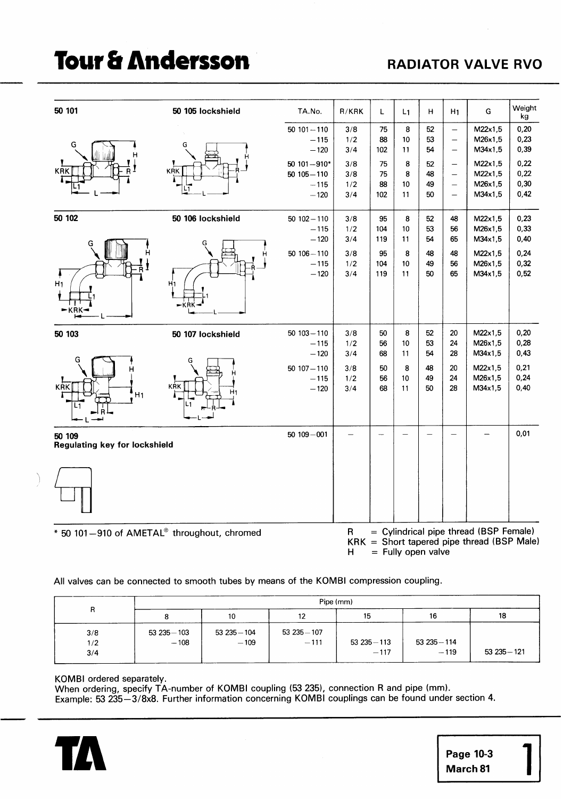# **Tour & Andersson**

## **RADIATOR VALVE RVO**

| 50 101                                      | 50 105 lockshield | TA.No.                                               | R/KRK                    | L                     | L <sub>1</sub>       | н                    | H <sub>1</sub>                                            | G                                                                                      | Weight<br>kg                 |
|---------------------------------------------|-------------------|------------------------------------------------------|--------------------------|-----------------------|----------------------|----------------------|-----------------------------------------------------------|----------------------------------------------------------------------------------------|------------------------------|
| G                                           |                   | $50101 - 110$<br>$-115$<br>$-120$                    | 3/8<br>1/2<br>3/4        | 75<br>88<br>102       | 8<br>10<br>11        | 52<br>53<br>54       | $\overline{\phantom{0}}$<br>$\overline{\phantom{0}}$<br>— | M22x1,5<br>M26x1,5<br>M34x1,5                                                          | 0,20<br>0,23<br>0,39         |
| KRK                                         | <b>KRK</b>        | 50 $101 - 910*$<br>$50105 - 110$<br>$-115$<br>$-120$ | 3/8<br>3/8<br>1/2<br>3/4 | 75<br>75<br>88<br>102 | 8<br>8<br>10<br>11   | 52<br>48<br>49<br>50 | —<br>$\overline{\phantom{0}}$<br>$\overline{\phantom{0}}$ | M22x1,5<br>M22x1,5<br>M26x1,5<br>M34x1,5                                               | 0,22<br>0,22<br>0,30<br>0,42 |
| 50 102                                      | 50 106 lockshield | $50102 - 110$<br>$-115$<br>$-120$                    | 3/8<br>1/2<br>3/4        | 95<br>104<br>119      | 8<br>10<br>11        | 52<br>53<br>54       | 48<br>56<br>65                                            | M22x1,5<br>M26x1,5<br>M34x1,5                                                          | 0,23<br>0,33<br>0,40         |
| H <sub>1</sub><br>– KRK                     | H <sub>1</sub>    | $50106 - 110$<br>$-115$<br>$-120$                    | 3/8<br>1/2<br>3/4        | 95<br>104<br>119      | 8<br>10<br>11        | 48<br>49<br>50       | 48<br>56<br>65                                            | M22x1,5<br>M26x1,5<br>M34x1,5                                                          | 0,24<br>0,32<br>0,52         |
| 50 103                                      | 50 107 lockshield | $50103 - 110$<br>$-115$<br>$-120$                    | 3/8<br>1/2<br>3/4        | 50<br>56<br>68        | 8<br>10<br>11        | 52<br>53<br>54       | 20<br>24<br>28                                            | M22x1,5<br>M26x1,5<br>M34x1,5                                                          | 0,20<br>0,28<br>0,43         |
| <b>KRK</b><br>H <sub>1</sub>                | KŔK               | $50107 - 110$<br>$-115$<br>$-120$                    | 3/8<br>1/2<br>3/4        | 50<br>56<br>68        | 8<br>10<br>11        | 48<br>49<br>50       | 20<br>24<br>28                                            | M22x1,5<br>M26x1,5<br>M34x1,5                                                          | 0,21<br>0,24<br>0,40         |
| 50 109<br>Regulating key for lockshield     |                   | $50109 - 001$                                        |                          | -                     |                      |                      |                                                           |                                                                                        | 0,01                         |
|                                             |                   |                                                      |                          |                       |                      |                      |                                                           |                                                                                        |                              |
| * 50 101-910 of AMETAL® throughout, chromed |                   |                                                      | $\mathsf R$<br>H         |                       | $=$ Fully open valve |                      |                                                           | = Cylindrical pipe thread (BSP Female)<br>$KRK = Short$ tapered pipe thread (BSP Male) |                              |

All valves can be connected to smooth tubes by means of the KOMBI compression coupling.

|     | Pipe (mm)     |               |               |               |               |               |  |
|-----|---------------|---------------|---------------|---------------|---------------|---------------|--|
| R   |               | 10            | 12            | 15            | 16            | 18            |  |
| 3/8 | $53235 - 103$ | $53235 - 104$ | $53235 - 107$ |               |               |               |  |
| 1/2 | $-108$        | $-109$        | $-111$        | $53235 - 113$ | $53235 - 114$ |               |  |
| 3/4 |               |               |               | $-117$        | $-119$        | $53235 - 121$ |  |

KOMBI ordered separately.

When ordering, specify TA-number of KOMBI coupling (53 235), connection R and pipe (mm). Example: 53 235-318x8. Further information concerning KOMBI couplings can be found under section **4.**